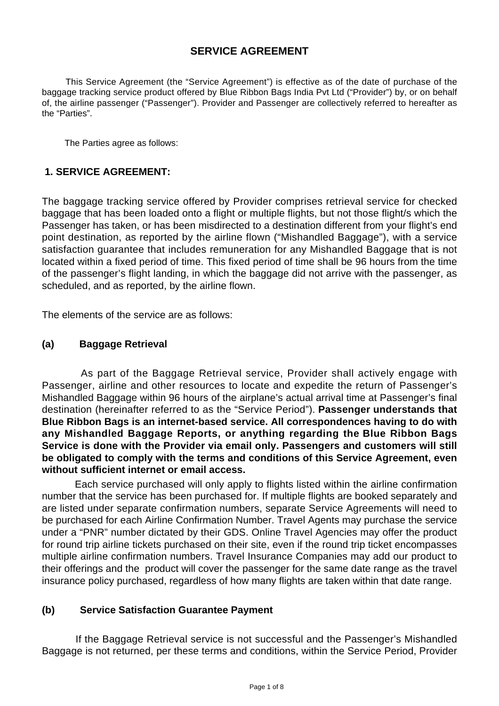# **SERVICE AGREEMENT**

 This Service Agreement (the "Service Agreement") is effective as of the date of purchase of the baggage tracking service product offered by Blue Ribbon Bags India Pvt Ltd ("Provider") by, or on behalf of, the airline passenger ("Passenger"). Provider and Passenger are collectively referred to hereafter as the "Parties".

The Parties agree as follows:

### **1. SERVICE AGREEMENT:**

The baggage tracking service offered by Provider comprises retrieval service for checked baggage that has been loaded onto a flight or multiple flights, but not those flight/s which the Passenger has taken, or has been misdirected to a destination different from your flight's end point destination, as reported by the airline flown ("Mishandled Baggage"), with a service satisfaction guarantee that includes remuneration for any Mishandled Baggage that is not located within a fixed period of time. This fixed period of time shall be 96 hours from the time of the passenger's flight landing, in which the baggage did not arrive with the passenger, as scheduled, and as reported, by the airline flown.

The elements of the service are as follows:

#### **(a) Baggage Retrieval**

 As part of the Baggage Retrieval service, Provider shall actively engage with Passenger, airline and other resources to locate and expedite the return of Passenger's Mishandled Baggage within 96 hours of the airplane's actual arrival time at Passenger's final destination (hereinafter referred to as the "Service Period"). **Passenger understands that Blue Ribbon Bags is an internet-based service. All correspondences having to do with any Mishandled Baggage Reports, or anything regarding the Blue Ribbon Bags Service is done with the Provider via email only. Passengers and customers will still be obligated to comply with the terms and conditions of this Service Agreement, even without sufficient internet or email access.**

 Each service purchased will only apply to flights listed within the airline confirmation number that the service has been purchased for. If multiple flights are booked separately and are listed under separate confirmation numbers, separate Service Agreements will need to be purchased for each Airline Confirmation Number. Travel Agents may purchase the service under a "PNR" number dictated by their GDS. Online Travel Agencies may offer the product for round trip airline tickets purchased on their site, even if the round trip ticket encompasses multiple airline confirmation numbers. Travel Insurance Companies may add our product to their offerings and the product will cover the passenger for the same date range as the travel insurance policy purchased, regardless of how many flights are taken within that date range.

#### **(b) Service Satisfaction Guarantee Payment**

 If the Baggage Retrieval service is not successful and the Passenger's Mishandled Baggage is not returned, per these terms and conditions, within the Service Period, Provider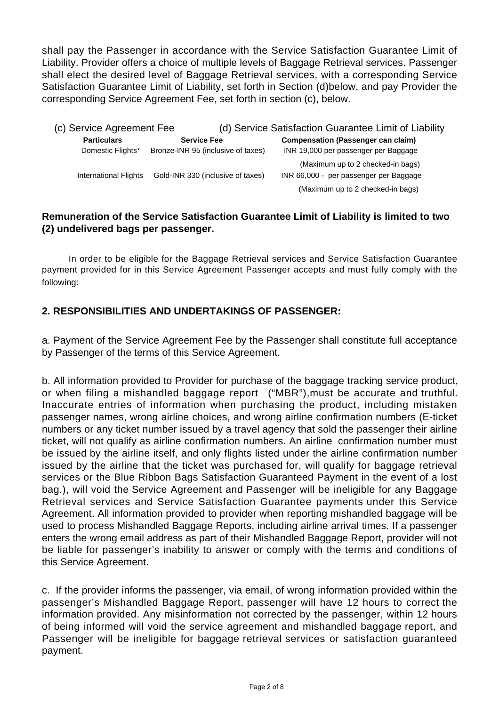shall pay the Passenger in accordance with the Service Satisfaction Guarantee Limit of Liability. Provider offers a choice of multiple levels of Baggage Retrieval services. Passenger shall elect the desired level of Baggage Retrieval services, with a corresponding Service Satisfaction Guarantee Limit of Liability, set forth in Section (d)below, and pay Provider the corresponding Service Agreement Fee, set forth in section (c), below.

| (c) Service Agreement Fee    |                                    | (d) Service Satisfaction Guarantee Limit of Liability                       |  |
|------------------------------|------------------------------------|-----------------------------------------------------------------------------|--|
| <b>Particulars</b>           | <b>Service Fee</b>                 | <b>Compensation (Passenger can claim)</b>                                   |  |
| Domestic Flights*            | Bronze-INR 95 (inclusive of taxes) | INR 19,000 per passenger per Baggage                                        |  |
| <b>International Flights</b> | Gold-INR 330 (inclusive of taxes)  | (Maximum up to 2 checked-in bags)<br>INR 66,000 - per passenger per Baggage |  |
|                              |                                    | (Maximum up to 2 checked-in bags)                                           |  |

### **Remuneration of the Service Satisfaction Guarantee Limit of Liability is limited to two (2) undelivered bags per passenger.**

 In order to be eligible for the Baggage Retrieval services and Service Satisfaction Guarantee payment provided for in this Service Agreement Passenger accepts and must fully comply with the following:

# **2. RESPONSIBILITIES AND UNDERTAKINGS OF PASSENGER:**

a. Payment of the Service Agreement Fee by the Passenger shall constitute full acceptance by Passenger of the terms of this Service Agreement.

b. All information provided to Provider for purchase of the baggage tracking service product, or when filing a mishandled baggage report ("MBR"),must be accurate and truthful. Inaccurate entries of information when purchasing the product, including mistaken passenger names, wrong airline choices, and wrong airline confirmation numbers (E-ticket numbers or any ticket number issued by a travel agency that sold the passenger their airline ticket, will not qualify as airline confirmation numbers. An airline confirmation number must be issued by the airline itself, and only flights listed under the airline confirmation number issued by the airline that the ticket was purchased for, will qualify for baggage retrieval services or the Blue Ribbon Bags Satisfaction Guaranteed Payment in the event of a lost bag.), will void the Service Agreement and Passenger will be ineligible for any Baggage Retrieval services and Service Satisfaction Guarantee payments under this Service Agreement. All information provided to provider when reporting mishandled baggage will be used to process Mishandled Baggage Reports, including airline arrival times. If a passenger enters the wrong email address as part of their Mishandled Baggage Report, provider will not be liable for passenger's inability to answer or comply with the terms and conditions of this Service Agreement.

c. If the provider informs the passenger, via email, of wrong information provided within the passenger's Mishandled Baggage Report, passenger will have 12 hours to correct the information provided. Any misinformation not corrected by the passenger, within 12 hours of being informed will void the service agreement and mishandled baggage report, and Passenger will be ineligible for baggage retrieval services or satisfaction guaranteed payment.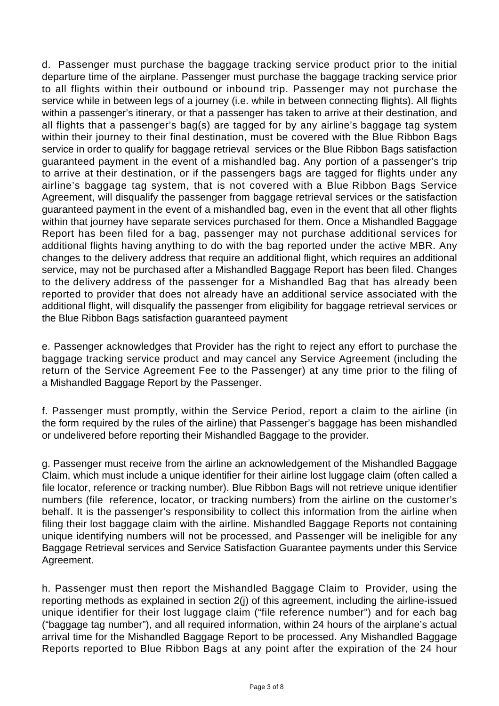d. Passenger must purchase the baggage tracking service product prior to the initial departure time of the airplane. Passenger must purchase the baggage tracking service prior to all flights within their outbound or inbound trip. Passenger may not purchase the service while in between legs of a journey (i.e. while in between connecting flights). All flights within a passenger's itinerary, or that a passenger has taken to arrive at their destination, and all flights that a passenger's bag(s) are tagged for by any airline's baggage tag system within their journey to their final destination, must be covered with the Blue Ribbon Bags service in order to qualify for baggage retrieval services or the Blue Ribbon Bags satisfaction guaranteed payment in the event of a mishandled bag. Any portion of a passenger's trip to arrive at their destination, or if the passengers bags are tagged for flights under any airline's baggage tag system, that is not covered with a Blue Ribbon Bags Service Agreement, will disqualify the passenger from baggage retrieval services or the satisfaction guaranteed payment in the event of a mishandled bag, even in the event that all other flights within that journey have separate services purchased for them. Once a Mishandled Baggage Report has been filed for a bag, passenger may not purchase additional services for additional flights having anything to do with the bag reported under the active MBR. Any changes to the delivery address that require an additional flight, which requires an additional service, may not be purchased after a Mishandled Baggage Report has been filed. Changes to the delivery address of the passenger for a Mishandled Bag that has already been reported to provider that does not already have an additional service associated with the additional flight, will disqualify the passenger from eligibility for baggage retrieval services or the Blue Ribbon Bags satisfaction guaranteed payment

e. Passenger acknowledges that Provider has the right to reject any effort to purchase the baggage tracking service product and may cancel any Service Agreement (including the return of the Service Agreement Fee to the Passenger) at any time prior to the filing of a Mishandled Baggage Report by the Passenger.

f. Passenger must promptly, within the Service Period, report a claim to the airline (in the form required by the rules of the airline) that Passenger's baggage has been mishandled or undelivered before reporting their Mishandled Baggage to the provider.

g. Passenger must receive from the airline an acknowledgement of the Mishandled Baggage Claim, which must include a unique identifier for their airline lost luggage claim (often called a file locator, reference or tracking number). Blue Ribbon Bags will not retrieve unique identifier numbers (file reference, locator, or tracking numbers) from the airline on the customer's behalf. It is the passenger's responsibility to collect this information from the airline when filing their lost baggage claim with the airline. Mishandled Baggage Reports not containing unique identifying numbers will not be processed, and Passenger will be ineligible for any Baggage Retrieval services and Service Satisfaction Guarantee payments under this Service Agreement.

h. Passenger must then report the Mishandled Baggage Claim to Provider, using the reporting methods as explained in section 2(j) of this agreement, including the airline-issued unique identifier for their lost luggage claim ("file reference number") and for each bag ("baggage tag number"), and all required information, within 24 hours of the airplane's actual arrival time for the Mishandled Baggage Report to be processed. Any Mishandled Baggage Reports reported to Blue Ribbon Bags at any point after the expiration of the 24 hour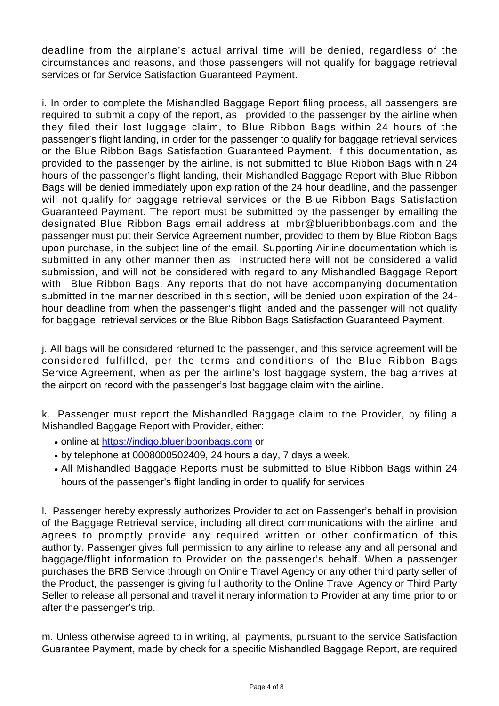deadline from the airplane's actual arrival time will be denied, regardless of the circumstances and reasons, and those passengers will not qualify for baggage retrieval services or for Service Satisfaction Guaranteed Payment.

i. In order to complete the Mishandled Baggage Report filing process, all passengers are required to submit a copy of the report, as provided to the passenger by the airline when they filed their lost luggage claim, to Blue Ribbon Bags within 24 hours of the passenger's flight landing, in order for the passenger to qualify for baggage retrieval services or the Blue Ribbon Bags Satisfaction Guaranteed Payment. If this documentation, as provided to the passenger by the airline, is not submitted to Blue Ribbon Bags within 24 hours of the passenger's flight landing, their Mishandled Baggage Report with Blue Ribbon Bags will be denied immediately upon expiration of the 24 hour deadline, and the passenger will not qualify for baggage retrieval services or the Blue Ribbon Bags Satisfaction Guaranteed Payment. The report must be submitted by the passenger by emailing the designated Blue Ribbon Bags email address at mbr@blueribbonbags.com and the passenger must put their Service Agreement number, provided to them by Blue Ribbon Bags upon purchase, in the subject line of the email. Supporting Airline documentation which is submitted in any other manner then as instructed here will not be considered a valid submission, and will not be considered with regard to any Mishandled Baggage Report with Blue Ribbon Bags. Any reports that do not have accompanying documentation submitted in the manner described in this section, will be denied upon expiration of the 24 hour deadline from when the passenger's flight landed and the passenger will not qualify for baggage retrieval services or the Blue Ribbon Bags Satisfaction Guaranteed Payment.

j. All bags will be considered returned to the passenger, and this service agreement will be considered fulfilled, per the terms and conditions of the Blue Ribbon Bags Service Agreement, when as per the airline's lost baggage system, the bag arrives at the airport on record with the passenger's lost baggage claim with the airline.

k. Passenger must report the Mishandled Baggage claim to the Provider, by filing a Mishandled Baggage Report with Provider, either:

- online at <https://indigo.blueribbonbags.com> or
- $\bullet$  by telephone at 0008000502409, 24 hours a day, 7 days a week.
- All Mishandled Baggage Reports must be submitted to Blue Ribbon Bags within 24 hours of the passenger's flight landing in order to qualify for services

l. Passenger hereby expressly authorizes Provider to act on Passenger's behalf in provision of the Baggage Retrieval service, including all direct communications with the airline, and agrees to promptly provide any required written or other confirmation of this authority. Passenger gives full permission to any airline to release any and all personal and baggage/flight information to Provider on the passenger's behalf. When a passenger purchases the BRB Service through on Online Travel Agency or any other third party seller of the Product, the passenger is giving full authority to the Online Travel Agency or Third Party Seller to release all personal and travel itinerary information to Provider at any time prior to or after the passenger's trip.

m. Unless otherwise agreed to in writing, all payments, pursuant to the service Satisfaction Guarantee Payment, made by check for a specific Mishandled Baggage Report, are required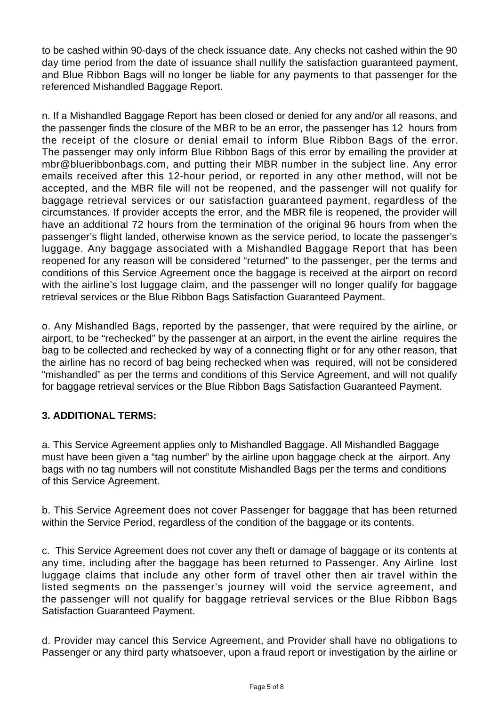to be cashed within 90-days of the check issuance date. Any checks not cashed within the 90 day time period from the date of issuance shall nullify the satisfaction guaranteed payment, and Blue Ribbon Bags will no longer be liable for any payments to that passenger for the referenced Mishandled Baggage Report.

n. If a Mishandled Baggage Report has been closed or denied for any and/or all reasons, and the passenger finds the closure of the MBR to be an error, the passenger has 12 hours from the receipt of the closure or denial email to inform Blue Ribbon Bags of the error. The passenger may only inform Blue Ribbon Bags of this error by emailing the provider at mbr@blueribbonbags.com, and putting their MBR number in the subject line. Any error emails received after this 12-hour period, or reported in any other method, will not be accepted, and the MBR file will not be reopened, and the passenger will not qualify for baggage retrieval services or our satisfaction guaranteed payment, regardless of the circumstances. If provider accepts the error, and the MBR file is reopened, the provider will have an additional 72 hours from the termination of the original 96 hours from when the passenger's flight landed, otherwise known as the service period, to locate the passenger's luggage. Any baggage associated with a Mishandled Baggage Report that has been reopened for any reason will be considered "returned" to the passenger, per the terms and conditions of this Service Agreement once the baggage is received at the airport on record with the airline's lost luggage claim, and the passenger will no longer qualify for baggage retrieval services or the Blue Ribbon Bags Satisfaction Guaranteed Payment.

o. Any Mishandled Bags, reported by the passenger, that were required by the airline, or airport, to be "rechecked" by the passenger at an airport, in the event the airline requires the bag to be collected and rechecked by way of a connecting flight or for any other reason, that the airline has no record of bag being rechecked when was required, will not be considered "mishandled" as per the terms and conditions of this Service Agreement, and will not qualify for baggage retrieval services or the Blue Ribbon Bags Satisfaction Guaranteed Payment.

# **3. ADDITIONAL TERMS:**

a. This Service Agreement applies only to Mishandled Baggage. All Mishandled Baggage must have been given a "tag number" by the airline upon baggage check at the airport. Any bags with no tag numbers will not constitute Mishandled Bags per the terms and conditions of this Service Agreement.

b. This Service Agreement does not cover Passenger for baggage that has been returned within the Service Period, regardless of the condition of the baggage or its contents.

c. This Service Agreement does not cover any theft or damage of baggage or its contents at any time, including after the baggage has been returned to Passenger. Any Airline lost luggage claims that include any other form of travel other then air travel within the listed segments on the passenger's journey will void the service agreement, and the passenger will not qualify for baggage retrieval services or the Blue Ribbon Bags Satisfaction Guaranteed Payment.

d. Provider may cancel this Service Agreement, and Provider shall have no obligations to Passenger or any third party whatsoever, upon a fraud report or investigation by the airline or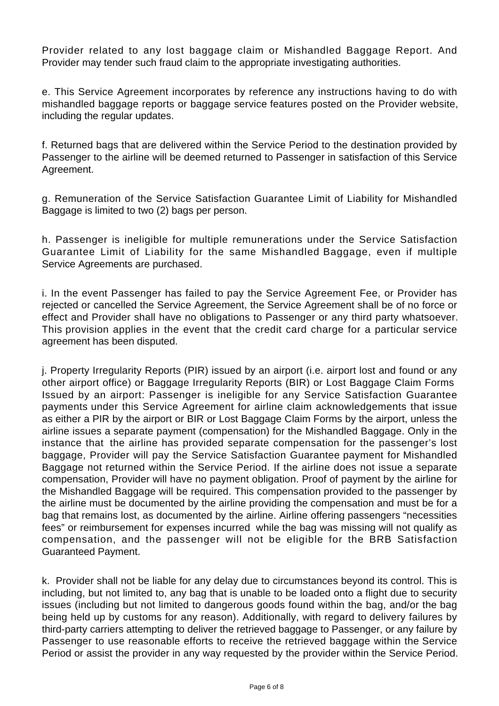Provider related to any lost baggage claim or Mishandled Baggage Report. And Provider may tender such fraud claim to the appropriate investigating authorities.

e. This Service Agreement incorporates by reference any instructions having to do with mishandled baggage reports or baggage service features posted on the Provider website, including the regular updates.

f. Returned bags that are delivered within the Service Period to the destination provided by Passenger to the airline will be deemed returned to Passenger in satisfaction of this Service Agreement.

g. Remuneration of the Service Satisfaction Guarantee Limit of Liability for Mishandled Baggage is limited to two (2) bags per person.

h. Passenger is ineligible for multiple remunerations under the Service Satisfaction Guarantee Limit of Liability for the same Mishandled Baggage, even if multiple Service Agreements are purchased.

i. In the event Passenger has failed to pay the Service Agreement Fee, or Provider has rejected or cancelled the Service Agreement, the Service Agreement shall be of no force or effect and Provider shall have no obligations to Passenger or any third party whatsoever. This provision applies in the event that the credit card charge for a particular service agreement has been disputed.

j. Property Irregularity Reports (PIR) issued by an airport (i.e. airport lost and found or any other airport office) or Baggage Irregularity Reports (BIR) or Lost Baggage Claim Forms Issued by an airport: Passenger is ineligible for any Service Satisfaction Guarantee payments under this Service Agreement for airline claim acknowledgements that issue as either a PIR by the airport or BIR or Lost Baggage Claim Forms by the airport, unless the airline issues a separate payment (compensation) for the Mishandled Baggage. Only in the instance that the airline has provided separate compensation for the passenger's lost baggage, Provider will pay the Service Satisfaction Guarantee payment for Mishandled Baggage not returned within the Service Period. If the airline does not issue a separate compensation, Provider will have no payment obligation. Proof of payment by the airline for the Mishandled Baggage will be required. This compensation provided to the passenger by the airline must be documented by the airline providing the compensation and must be for a bag that remains lost, as documented by the airline. Airline offering passengers "necessities fees" or reimbursement for expenses incurred while the bag was missing will not qualify as compensation, and the passenger will not be eligible for the BRB Satisfaction Guaranteed Payment.

k. Provider shall not be liable for any delay due to circumstances beyond its control. This is including, but not limited to, any bag that is unable to be loaded onto a flight due to security issues (including but not limited to dangerous goods found within the bag, and/or the bag being held up by customs for any reason). Additionally, with regard to delivery failures by third-party carriers attempting to deliver the retrieved baggage to Passenger, or any failure by Passenger to use reasonable efforts to receive the retrieved baggage within the Service Period or assist the provider in any way requested by the provider within the Service Period.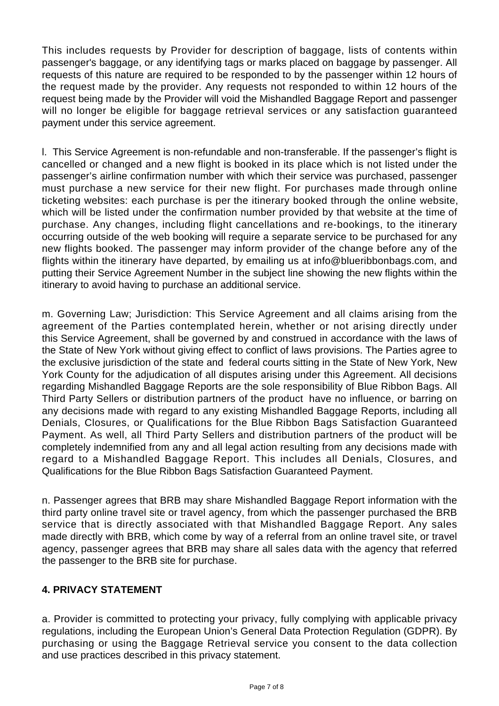This includes requests by Provider for description of baggage, lists of contents within passenger's baggage, or any identifying tags or marks placed on baggage by passenger. All requests of this nature are required to be responded to by the passenger within 12 hours of the request made by the provider. Any requests not responded to within 12 hours of the request being made by the Provider will void the Mishandled Baggage Report and passenger will no longer be eligible for baggage retrieval services or any satisfaction guaranteed payment under this service agreement.

l. This Service Agreement is non-refundable and non-transferable. If the passenger's flight is cancelled or changed and a new flight is booked in its place which is not listed under the passenger's airline confirmation number with which their service was purchased, passenger must purchase a new service for their new flight. For purchases made through online ticketing websites: each purchase is per the itinerary booked through the online website, which will be listed under the confirmation number provided by that website at the time of purchase. Any changes, including flight cancellations and re-bookings, to the itinerary occurring outside of the web booking will require a separate service to be purchased for any new flights booked. The passenger may inform provider of the change before any of the flights within the itinerary have departed, by emailing us at info@blueribbonbags.com, and putting their Service Agreement Number in the subject line showing the new flights within the itinerary to avoid having to purchase an additional service.

m. Governing Law; Jurisdiction: This Service Agreement and all claims arising from the agreement of the Parties contemplated herein, whether or not arising directly under this Service Agreement, shall be governed by and construed in accordance with the laws of the State of New York without giving effect to conflict of laws provisions. The Parties agree to the exclusive jurisdiction of the state and federal courts sitting in the State of New York, New York County for the adjudication of all disputes arising under this Agreement. All decisions regarding Mishandled Baggage Reports are the sole responsibility of Blue Ribbon Bags. All Third Party Sellers or distribution partners of the product have no influence, or barring on any decisions made with regard to any existing Mishandled Baggage Reports, including all Denials, Closures, or Qualifications for the Blue Ribbon Bags Satisfaction Guaranteed Payment. As well, all Third Party Sellers and distribution partners of the product will be completely indemnified from any and all legal action resulting from any decisions made with regard to a Mishandled Baggage Report. This includes all Denials, Closures, and Qualifications for the Blue Ribbon Bags Satisfaction Guaranteed Payment.

n. Passenger agrees that BRB may share Mishandled Baggage Report information with the third party online travel site or travel agency, from which the passenger purchased the BRB service that is directly associated with that Mishandled Baggage Report. Any sales made directly with BRB, which come by way of a referral from an online travel site, or travel agency, passenger agrees that BRB may share all sales data with the agency that referred the passenger to the BRB site for purchase.

# **4. PRIVACY STATEMENT**

a. Provider is committed to protecting your privacy, fully complying with applicable privacy regulations, including the European Union's General Data Protection Regulation (GDPR). By purchasing or using the Baggage Retrieval service you consent to the data collection and use practices described in this privacy statement.